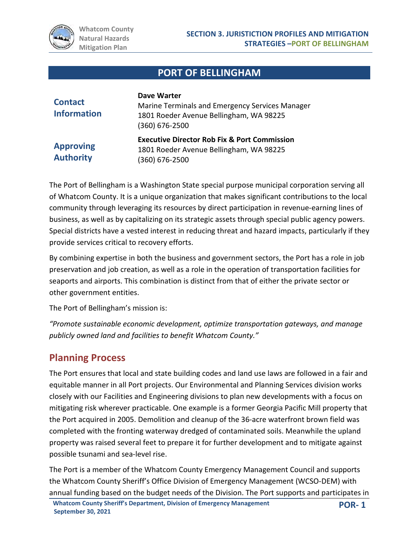

# **PORT OF BELLINGHAM**

| <b>Contact</b><br><b>Information</b> | <b>Dave Warter</b><br>Marine Terminals and Emergency Services Manager<br>1801 Roeder Avenue Bellingham, WA 98225<br>$(360) 676 - 2500$ |
|--------------------------------------|----------------------------------------------------------------------------------------------------------------------------------------|
| <b>Approving</b><br><b>Authority</b> | <b>Executive Director Rob Fix &amp; Port Commission</b><br>1801 Roeder Avenue Bellingham, WA 98225<br>(360) 676-2500                   |

The Port of Bellingham is a Washington State special purpose municipal corporation serving all of Whatcom County. It is a unique organization that makes significant contributions to the local community through leveraging its resources by direct participation in revenue-earning lines of business, as well as by capitalizing on its strategic assets through special public agency powers. Special districts have a vested interest in reducing threat and hazard impacts, particularly if they provide services critical to recovery efforts.

By combining expertise in both the business and government sectors, the Port has a role in job preservation and job creation, as well as a role in the operation of transportation facilities for seaports and airports. This combination is distinct from that of either the private sector or other government entities.

The Port of Bellingham's mission is:

*"Promote sustainable economic development, optimize transportation gateways, and manage publicly owned land and facilities to benefit Whatcom County."*

# **Planning Process**

The Port ensures that local and state building codes and land use laws are followed in a fair and equitable manner in all Port projects. Our Environmental and Planning Services division works closely with our Facilities and Engineering divisions to plan new developments with a focus on mitigating risk wherever practicable. One example is a former Georgia Pacific Mill property that the Port acquired in 2005. Demolition and cleanup of the 36-acre waterfront brown field was completed with the fronting waterway dredged of contaminated soils. Meanwhile the upland property was raised several feet to prepare it for further development and to mitigate against possible tsunami and sea-level rise.

The Port is a member of the Whatcom County Emergency Management Council and supports the Whatcom County Sheriff's Office Division of Emergency Management (WCSO-DEM) with annual funding based on the budget needs of the Division. The Port supports and participates in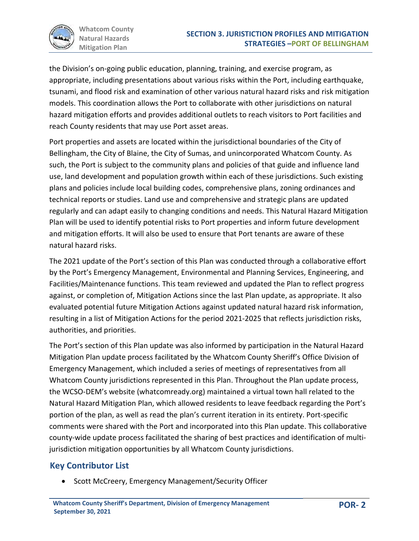

the Division's on-going public education, planning, training, and exercise program, as appropriate, including presentations about various risks within the Port, including earthquake, tsunami, and flood risk and examination of other various natural hazard risks and risk mitigation models. This coordination allows the Port to collaborate with other jurisdictions on natural hazard mitigation efforts and provides additional outlets to reach visitors to Port facilities and reach County residents that may use Port asset areas.

Port properties and assets are located within the jurisdictional boundaries of the City of Bellingham, the City of Blaine, the City of Sumas, and unincorporated Whatcom County. As such, the Port is subject to the community plans and policies of that guide and influence land use, land development and population growth within each of these jurisdictions. Such existing plans and policies include local building codes, comprehensive plans, zoning ordinances and technical reports or studies. Land use and comprehensive and strategic plans are updated regularly and can adapt easily to changing conditions and needs. This Natural Hazard Mitigation Plan will be used to identify potential risks to Port properties and inform future development and mitigation efforts. It will also be used to ensure that Port tenants are aware of these natural hazard risks.

The 2021 update of the Port's section of this Plan was conducted through a collaborative effort by the Port's Emergency Management, Environmental and Planning Services, Engineering, and Facilities/Maintenance functions. This team reviewed and updated the Plan to reflect progress against, or completion of, Mitigation Actions since the last Plan update, as appropriate. It also evaluated potential future Mitigation Actions against updated natural hazard risk information, resulting in a list of Mitigation Actions for the period 2021-2025 that reflects jurisdiction risks, authorities, and priorities.

The Port's section of this Plan update was also informed by participation in the Natural Hazard Mitigation Plan update process facilitated by the Whatcom County Sheriff's Office Division of Emergency Management, which included a series of meetings of representatives from all Whatcom County jurisdictions represented in this Plan. Throughout the Plan update process, the WCSO-DEM's website (whatcomready.org) maintained a virtual town hall related to the Natural Hazard Mitigation Plan, which allowed residents to leave feedback regarding the Port's portion of the plan, as well as read the plan's current iteration in its entirety. Port-specific comments were shared with the Port and incorporated into this Plan update. This collaborative county-wide update process facilitated the sharing of best practices and identification of multijurisdiction mitigation opportunities by all Whatcom County jurisdictions.

## **Key Contributor List**

• Scott McCreery, Emergency Management/Security Officer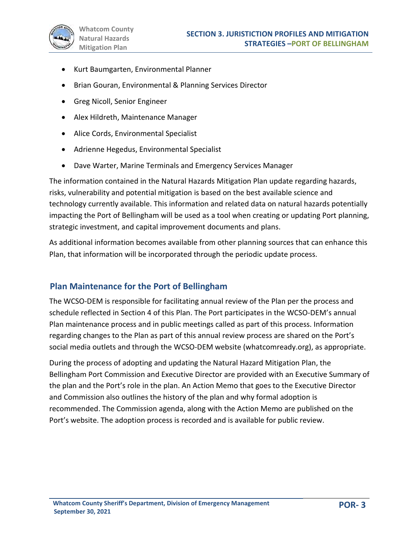- Kurt Baumgarten, Environmental Planner
- Brian Gouran, Environmental & Planning Services Director
- Greg Nicoll, Senior Engineer
- Alex Hildreth, Maintenance Manager
- Alice Cords, Environmental Specialist
- Adrienne Hegedus, Environmental Specialist
- Dave Warter, Marine Terminals and Emergency Services Manager

The information contained in the Natural Hazards Mitigation Plan update regarding hazards, risks, vulnerability and potential mitigation is based on the best available science and technology currently available. This information and related data on natural hazards potentially impacting the Port of Bellingham will be used as a tool when creating or updating Port planning, strategic investment, and capital improvement documents and plans.

As additional information becomes available from other planning sources that can enhance this Plan, that information will be incorporated through the periodic update process.

#### **Plan Maintenance for the Port of Bellingham**

The WCSO-DEM is responsible for facilitating annual review of the Plan per the process and schedule reflected in Section 4 of this Plan. The Port participates in the WCSO-DEM's annual Plan maintenance process and in public meetings called as part of this process. Information regarding changes to the Plan as part of this annual review process are shared on the Port's social media outlets and through the WCSO-DEM website (whatcomready.org), as appropriate.

During the process of adopting and updating the Natural Hazard Mitigation Plan, the Bellingham Port Commission and Executive Director are provided with an Executive Summary of the plan and the Port's role in the plan. An Action Memo that goes to the Executive Director and Commission also outlines the history of the plan and why formal adoption is recommended. The Commission agenda, along with the Action Memo are published on the Port's website. The adoption process is recorded and is available for public review.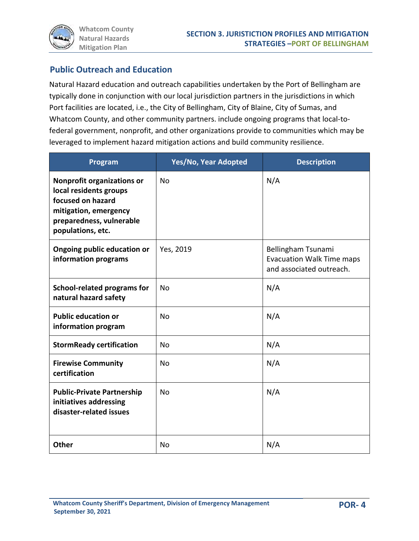

## **Public Outreach and Education**

Natural Hazard education and outreach capabilities undertaken by the Port of Bellingham are typically done in conjunction with our local jurisdiction partners in the jurisdictions in which Port facilities are located, i.e., the City of Bellingham, City of Blaine, City of Sumas, and Whatcom County, and other community partners. include ongoing programs that local-tofederal government, nonprofit, and other organizations provide to communities which may be leveraged to implement hazard mitigation actions and build community resilience.

| Program                                                                                                                                                    | Yes/No, Year Adopted | <b>Description</b>                                                                 |  |
|------------------------------------------------------------------------------------------------------------------------------------------------------------|----------------------|------------------------------------------------------------------------------------|--|
| <b>Nonprofit organizations or</b><br>local residents groups<br>focused on hazard<br>mitigation, emergency<br>preparedness, vulnerable<br>populations, etc. | N <sub>0</sub>       | N/A                                                                                |  |
| Ongoing public education or<br>information programs                                                                                                        | Yes, 2019            | Bellingham Tsunami<br><b>Evacuation Walk Time maps</b><br>and associated outreach. |  |
| <b>School-related programs for</b><br>natural hazard safety                                                                                                | N <sub>0</sub>       | N/A                                                                                |  |
| <b>Public education or</b><br>information program                                                                                                          | No                   | N/A                                                                                |  |
| <b>StormReady certification</b>                                                                                                                            | No                   | N/A                                                                                |  |
| <b>Firewise Community</b><br>certification                                                                                                                 | No                   | N/A                                                                                |  |
| <b>Public-Private Partnership</b><br>initiatives addressing<br>disaster-related issues                                                                     | <b>No</b>            | N/A                                                                                |  |
| <b>Other</b>                                                                                                                                               | N <sub>0</sub>       | N/A                                                                                |  |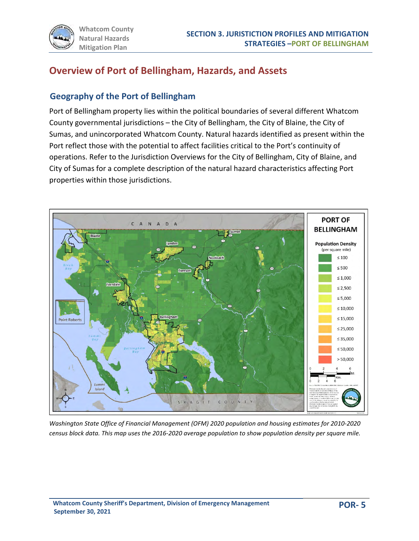

# **Overview of Port of Bellingham, Hazards, and Assets**

### **Geography of the Port of Bellingham**

Port of Bellingham property lies within the political boundaries of several different Whatcom County governmental jurisdictions – the City of Bellingham, the City of Blaine, the City of Sumas, and unincorporated Whatcom County. Natural hazards identified as present within the Port reflect those with the potential to affect facilities critical to the Port's continuity of operations. Refer to the Jurisdiction Overviews for the City of Bellingham, City of Blaine, and City of Sumas for a complete description of the natural hazard characteristics affecting Port properties within those jurisdictions.



*Washington State Office of Financial Management (OFM) 2020 population and housing estimates for 2010-2020 census block data. This map uses the 2016-2020 average population to show population density per square mile.*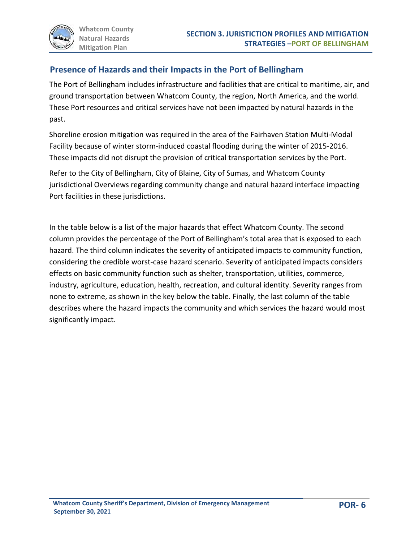## **Presence of Hazards and their Impacts in the Port of Bellingham**

The Port of Bellingham includes infrastructure and facilities that are critical to maritime, air, and ground transportation between Whatcom County, the region, North America, and the world. These Port resources and critical services have not been impacted by natural hazards in the past.

Shoreline erosion mitigation was required in the area of the Fairhaven Station Multi-Modal Facility because of winter storm-induced coastal flooding during the winter of 2015-2016. These impacts did not disrupt the provision of critical transportation services by the Port.

Refer to the City of Bellingham, City of Blaine, City of Sumas, and Whatcom County jurisdictional Overviews regarding community change and natural hazard interface impacting Port facilities in these jurisdictions.

In the table below is a list of the major hazards that effect Whatcom County. The second column provides the percentage of the Port of Bellingham's total area that is exposed to each hazard. The third column indicates the severity of anticipated impacts to community function, considering the credible worst-case hazard scenario. Severity of anticipated impacts considers effects on basic community function such as shelter, transportation, utilities, commerce, industry, agriculture, education, health, recreation, and cultural identity. Severity ranges from none to extreme, as shown in the key below the table. Finally, the last column of the table describes where the hazard impacts the community and which services the hazard would most significantly impact.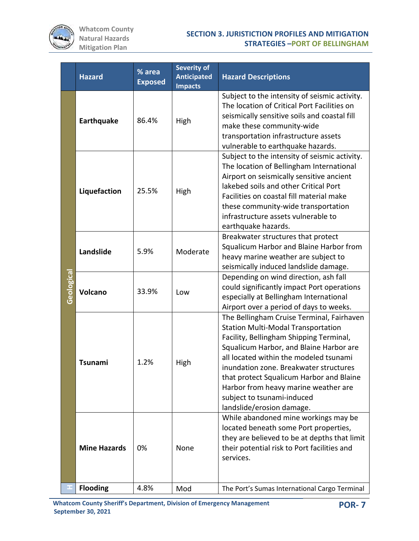

|            | <b>Hazard</b>       | % area<br><b>Exposed</b> | <b>Severity of</b><br><b>Anticipated</b><br><b>Impacts</b> | <b>Hazard Descriptions</b>                                                                                                                                                                                                                                                                                                                                                                                      |  |  |  |  |
|------------|---------------------|--------------------------|------------------------------------------------------------|-----------------------------------------------------------------------------------------------------------------------------------------------------------------------------------------------------------------------------------------------------------------------------------------------------------------------------------------------------------------------------------------------------------------|--|--|--|--|
|            | <b>Earthquake</b>   | 86.4%                    | High                                                       | Subject to the intensity of seismic activity.<br>The location of Critical Port Facilities on<br>seismically sensitive soils and coastal fill<br>make these community-wide<br>transportation infrastructure assets<br>vulnerable to earthquake hazards.                                                                                                                                                          |  |  |  |  |
| Geological | Liquefaction        | 25.5%                    | High                                                       | Subject to the intensity of seismic activity.<br>The location of Bellingham International<br>Airport on seismically sensitive ancient<br>lakebed soils and other Critical Port<br>Facilities on coastal fill material make<br>these community-wide transportation<br>infrastructure assets vulnerable to<br>earthquake hazards.                                                                                 |  |  |  |  |
|            | Landslide           | 5.9%                     | Moderate                                                   | Breakwater structures that protect<br>Squalicum Harbor and Blaine Harbor from<br>heavy marine weather are subject to<br>seismically induced landslide damage.                                                                                                                                                                                                                                                   |  |  |  |  |
|            | <b>Volcano</b>      | 33.9%                    | Low                                                        | Depending on wind direction, ash fall<br>could significantly impact Port operations<br>especially at Bellingham International<br>Airport over a period of days to weeks.                                                                                                                                                                                                                                        |  |  |  |  |
|            | <b>Tsunami</b>      | 1.2%                     | High                                                       | The Bellingham Cruise Terminal, Fairhaven<br><b>Station Multi-Modal Transportation</b><br>Facility, Bellingham Shipping Terminal,<br>Squalicum Harbor, and Blaine Harbor are<br>all located within the modeled tsunami<br>inundation zone. Breakwater structures<br>that protect Squalicum Harbor and Blaine<br>Harbor from heavy marine weather are<br>subject to tsunami-induced<br>landslide/erosion damage. |  |  |  |  |
|            | <b>Mine Hazards</b> | 0%                       | None                                                       | While abandoned mine workings may be<br>located beneath some Port properties,<br>they are believed to be at depths that limit<br>their potential risk to Port facilities and<br>services.                                                                                                                                                                                                                       |  |  |  |  |
|            | <b>Flooding</b>     | 4.8%                     | Mod                                                        | The Port's Sumas International Cargo Terminal                                                                                                                                                                                                                                                                                                                                                                   |  |  |  |  |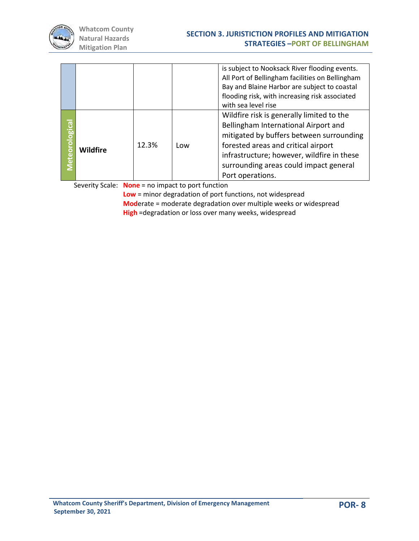

|                  |                 |       |     | is subject to Nooksack River flooding events.<br>All Port of Bellingham facilities on Bellingham<br>Bay and Blaine Harbor are subject to coastal<br>flooding risk, with increasing risk associated<br>with sea level rise                                                        |
|------------------|-----------------|-------|-----|----------------------------------------------------------------------------------------------------------------------------------------------------------------------------------------------------------------------------------------------------------------------------------|
| ිල<br>eteorologi | <b>Wildfire</b> | 12.3% | Low | Wildfire risk is generally limited to the<br>Bellingham International Airport and<br>mitigated by buffers between surrounding<br>forested areas and critical airport<br>infrastructure; however, wildfire in these<br>surrounding areas could impact general<br>Port operations. |

Severity Scale: **None** = no impact to port function

**Low** = minor degradation of port functions, not widespread **Mod**erate = moderate degradation over multiple weeks or widespread **High** =degradation or loss over many weeks, widespread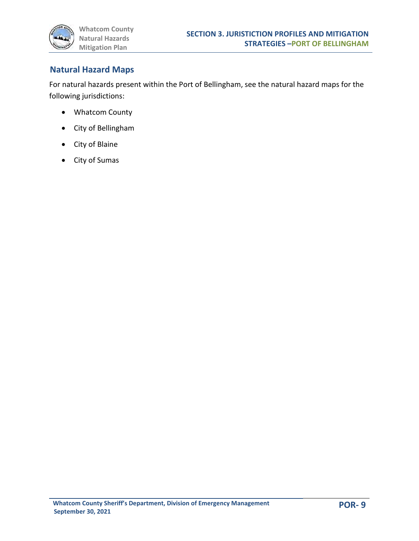

### **Natural Hazard Maps**

For natural hazards present within the Port of Bellingham, see the natural hazard maps for the following jurisdictions:

- Whatcom County
- City of Bellingham
- City of Blaine
- City of Sumas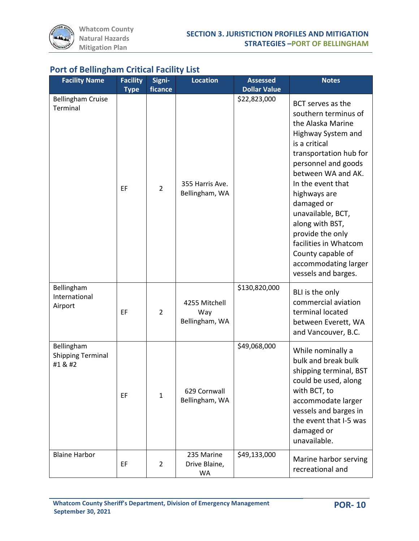| <b>Facility Name</b>                              | <b>Facility</b><br><b>Type</b> | Signi-<br>ficance | <b>Location</b>                        | <b>Assessed</b><br><b>Dollar Value</b> | <b>Notes</b>                                                                                                                                                                                                                                                                                                                                                                             |
|---------------------------------------------------|--------------------------------|-------------------|----------------------------------------|----------------------------------------|------------------------------------------------------------------------------------------------------------------------------------------------------------------------------------------------------------------------------------------------------------------------------------------------------------------------------------------------------------------------------------------|
| <b>Bellingham Cruise</b><br>Terminal              | EF                             | $\overline{2}$    | 355 Harris Ave.<br>Bellingham, WA      | \$22,823,000                           | BCT serves as the<br>southern terminus of<br>the Alaska Marine<br>Highway System and<br>is a critical<br>transportation hub for<br>personnel and goods<br>between WA and AK.<br>In the event that<br>highways are<br>damaged or<br>unavailable, BCT,<br>along with BST,<br>provide the only<br>facilities in Whatcom<br>County capable of<br>accommodating larger<br>vessels and barges. |
| Bellingham<br>International<br>Airport            | EF                             | $\overline{2}$    | 4255 Mitchell<br>Way<br>Bellingham, WA | \$130,820,000                          | BLI is the only<br>commercial aviation<br>terminal located<br>between Everett, WA<br>and Vancouver, B.C.                                                                                                                                                                                                                                                                                 |
| Bellingham<br><b>Shipping Terminal</b><br>#1 & #2 | EF                             | $\mathbf{1}$      | 629 Cornwall<br>Bellingham, WA         | \$49,068,000                           | While nominally a<br>bulk and break bulk<br>shipping terminal, BST<br>could be used, along<br>with BCT, to<br>accommodate larger<br>vessels and barges in<br>the event that I-5 was<br>damaged or<br>unavailable.                                                                                                                                                                        |
| <b>Blaine Harbor</b>                              | EF                             | 2                 | 235 Marine<br>Drive Blaine,<br>WA      | \$49,133,000                           | Marine harbor serving<br>recreational and                                                                                                                                                                                                                                                                                                                                                |

## **Port of Bellingham Critical Facility List**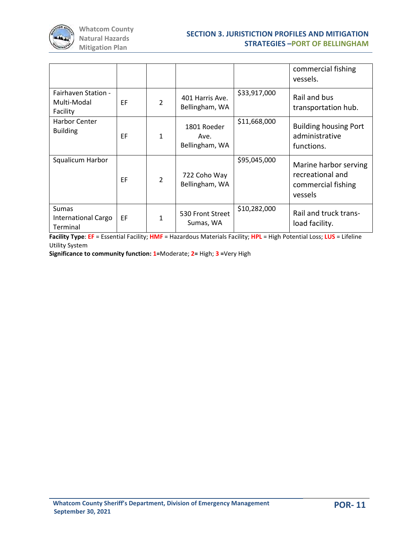

|                                                 |    |              |                                       |              | commercial fishing<br>vessels.                                             |
|-------------------------------------------------|----|--------------|---------------------------------------|--------------|----------------------------------------------------------------------------|
| Fairhaven Station -<br>Multi-Modal<br>Facility  | EF | 2            | 401 Harris Ave.<br>Bellingham, WA     | \$33,917,000 | Rail and bus<br>transportation hub.                                        |
| Harbor Center<br><b>Building</b>                | EF | $\mathbf{1}$ | 1801 Roeder<br>Ave.<br>Bellingham, WA | \$11,668,000 | <b>Building housing Port</b><br>administrative<br>functions.               |
| Squalicum Harbor                                | EF | 2            | 722 Coho Way<br>Bellingham, WA        | \$95,045,000 | Marine harbor serving<br>recreational and<br>commercial fishing<br>vessels |
| <b>Sumas</b><br>International Cargo<br>Terminal | EF | 1            | 530 Front Street<br>Sumas, WA         | \$10,282,000 | Rail and truck trans-<br>load facility.                                    |

**Facility Type**: **EF** = Essential Facility; **HMF** = Hazardous Materials Facility; **HPL** = High Potential Loss; **LUS** = Lifeline Utility System

**Significance to community function: 1=**Moderate; **2=** High; **3 =**Very High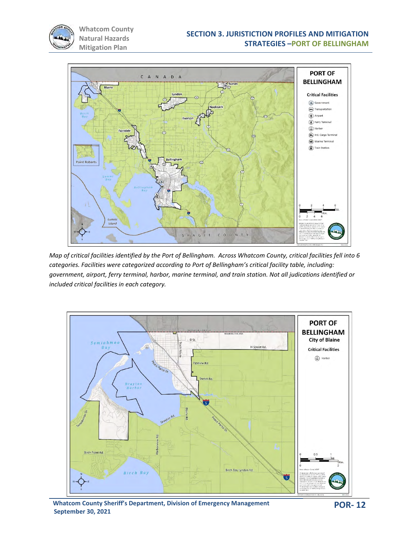



*Map of critical facilities identified by the Port of Bellingham. Across Whatcom County, critical facilities fell into 6 categories. Facilities were categorized according to Port of Bellingham's critical facility table, including: government, airport, ferry terminal, harbor, marine terminal, and train station. Not all judications identified or included critical facilities in each category.*

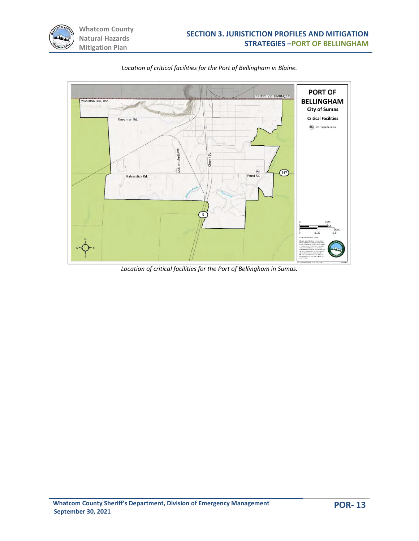



*Location of critical facilities for the Port of Bellingham in Blaine.* 

*Location of critical facilities for the Port of Bellingham in Sumas.*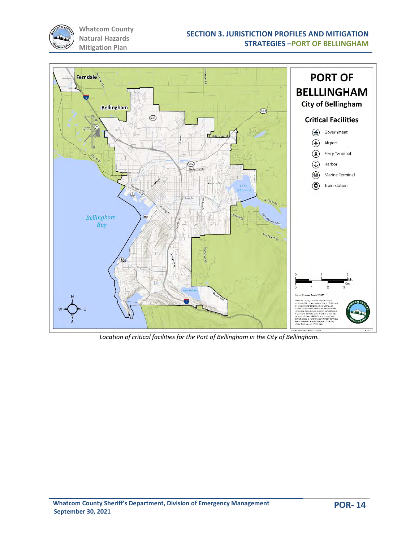



*Location of critical facilities for the Port of Bellingham in the City of Bellingham.*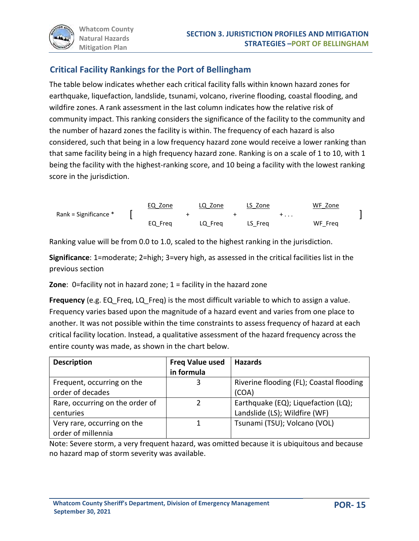

## **Critical Facility Rankings for the Port of Bellingham**

The table below indicates whether each critical facility falls within known hazard zones for earthquake, liquefaction, landslide, tsunami, volcano, riverine flooding, coastal flooding, and wildfire zones. A rank assessment in the last column indicates how the relative risk of community impact. This ranking considers the significance of the facility to the community and the number of hazard zones the facility is within. The frequency of each hazard is also considered, such that being in a low frequency hazard zone would receive a lower ranking than that same facility being in a high frequency hazard zone. Ranking is on a scale of 1 to 10, with 1 being the facility with the highest-ranking score, and 10 being a facility with the lowest ranking score in the jurisdiction.

|                       | EQ Zone | LQ Zone | LS Zone |   | WF Zone |  |
|-----------------------|---------|---------|---------|---|---------|--|
| Rank = Significance * |         |         |         | . |         |  |
|                       | EQ Frea | LQ Frea | LS Freg |   | WF Frea |  |

Ranking value will be from 0.0 to 1.0, scaled to the highest ranking in the jurisdiction.

**Significance**: 1=moderate; 2=high; 3=very high, as assessed in the critical facilities list in the previous section

**Zone**: 0=facility not in hazard zone; 1 = facility in the hazard zone

**Frequency** (e.g. EQ Freq, LQ Freq) is the most difficult variable to which to assign a value. Frequency varies based upon the magnitude of a hazard event and varies from one place to another. It was not possible within the time constraints to assess frequency of hazard at each critical facility location. Instead, a qualitative assessment of the hazard frequency across the entire county was made, as shown in the chart below.

| <b>Description</b>                                | <b>Freq Value used</b><br>in formula | <b>Hazards</b>                                                       |
|---------------------------------------------------|--------------------------------------|----------------------------------------------------------------------|
| Frequent, occurring on the<br>order of decades    | 3                                    | Riverine flooding (FL); Coastal flooding<br>(COA)                    |
| Rare, occurring on the order of<br>centuries      |                                      | Earthquake (EQ); Liquefaction (LQ);<br>Landslide (LS); Wildfire (WF) |
| Very rare, occurring on the<br>order of millennia |                                      | Tsunami (TSU); Volcano (VOL)                                         |

Note: Severe storm, a very frequent hazard, was omitted because it is ubiquitous and because no hazard map of storm severity was available.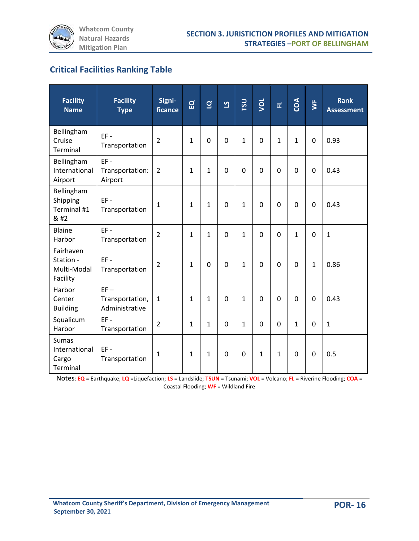# **Critical Facilities Ranking Table**

| <b>Facility</b><br><b>Name</b>                            | <b>Facility</b><br><b>Type</b>              | Signi-<br>ficance | $\overline{a}$ | $\overline{a}$ | <u>ମ</u>    | TSU            | you          | 군            | COA          | $\overline{\mathsf{S}}$ | <b>Rank</b><br><b>Assessment</b> |
|-----------------------------------------------------------|---------------------------------------------|-------------------|----------------|----------------|-------------|----------------|--------------|--------------|--------------|-------------------------|----------------------------------|
| Bellingham<br>Cruise<br>Terminal                          | $EF -$<br>Transportation                    | $\overline{2}$    | $\mathbf{1}$   | $\overline{0}$ | $\mathbf 0$ | $\mathbf{1}$   | $\mathbf 0$  | $\mathbf{1}$ | $\mathbf{1}$ | $\mathbf 0$             | 0.93                             |
| Bellingham<br>International<br>Airport                    | $EF -$<br>Transportation:<br>Airport        | $\overline{2}$    | $\mathbf{1}$   | $\mathbf{1}$   | $\mathbf 0$ | $\overline{0}$ | $\mathbf 0$  | $\mathbf 0$  | 0            | $\mathbf 0$             | 0.43                             |
| Bellingham<br>Shipping<br>Terminal #1<br>& #2             | $EF -$<br>Transportation                    | $\mathbf{1}$      | $\mathbf{1}$   | $\mathbf{1}$   | $\Omega$    | $\mathbf{1}$   | $\Omega$     | $\Omega$     | $\Omega$     | $\mathbf 0$             | 0.43                             |
| Blaine<br>Harbor                                          | $EF -$<br>Transportation                    | $\overline{2}$    | $\mathbf{1}$   | $\mathbf{1}$   | $\mathbf 0$ | $\mathbf{1}$   | $\Omega$     | $\Omega$     | $\mathbf{1}$ | $\mathbf 0$             | $\mathbf{1}$                     |
| Fairhaven<br>Station -<br>Multi-Modal<br>Facility         | $EF -$<br>Transportation                    | $\overline{2}$    | $\mathbf{1}$   | $\Omega$       | $\Omega$    | $\mathbf{1}$   | $\mathbf 0$  | $\Omega$     | 0            | $\mathbf{1}$            | 0.86                             |
| Harbor<br>Center<br><b>Building</b>                       | $EF -$<br>Transportation,<br>Administrative | $\mathbf{1}$      | $\mathbf{1}$   | $\mathbf{1}$   | $\Omega$    | $\mathbf{1}$   | $\Omega$     | $\Omega$     | $\Omega$     | $\mathbf 0$             | 0.43                             |
| Squalicum<br>Harbor                                       | $EF -$<br>Transportation                    | $\overline{2}$    | $\mathbf{1}$   | $\mathbf{1}$   | $\Omega$    | $\mathbf{1}$   | $\Omega$     | $\Omega$     | $\mathbf{1}$ | $\Omega$                | $\mathbf{1}$                     |
| <b>Sumas</b><br>International<br>Cargo<br><b>Terminal</b> | $EF -$<br>Transportation                    | $\mathbf{1}$      | $\mathbf{1}$   | $\mathbf{1}$   | $\mathbf 0$ | $\mathbf 0$    | $\mathbf{1}$ | $\mathbf{1}$ | 0            | 0                       | 0.5                              |

Notes: **EQ** = Earthquake; **LQ** =Liquefaction; **LS** = Landslide; **TSUN** = Tsunami; **VOL** = Volcano; **FL** = Riverine Flooding; **COA** = Coastal Flooding; **WF** = Wildland Fire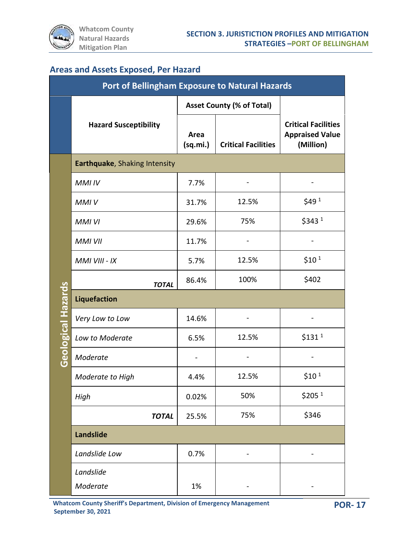

# **Areas and Assets Exposed, Per Hazard**

|                           | <b>Port of Bellingham Exposure to Natural Hazards</b> |                                                |                                  |                                                                   |  |  |  |  |
|---------------------------|-------------------------------------------------------|------------------------------------------------|----------------------------------|-------------------------------------------------------------------|--|--|--|--|
|                           |                                                       |                                                | <b>Asset County (% of Total)</b> |                                                                   |  |  |  |  |
|                           | <b>Hazard Susceptibility</b>                          | Area<br><b>Critical Facilities</b><br>(sq.mi.) |                                  | <b>Critical Facilities</b><br><b>Appraised Value</b><br>(Million) |  |  |  |  |
|                           | Earthquake, Shaking Intensity                         |                                                |                                  |                                                                   |  |  |  |  |
|                           | MMI IV                                                | 7.7%                                           |                                  |                                                                   |  |  |  |  |
|                           | <b>MMIV</b>                                           | 31.7%                                          | 12.5%                            | \$49 <sup>1</sup>                                                 |  |  |  |  |
|                           | <b>MMI VI</b>                                         | 29.6%                                          | 75%                              | \$3431                                                            |  |  |  |  |
|                           | <b>MMI VII</b>                                        | 11.7%                                          |                                  |                                                                   |  |  |  |  |
|                           | MMI VIII - IX                                         | 5.7%                                           | 12.5%                            | \$10 <sup>1</sup>                                                 |  |  |  |  |
|                           | <b>TOTAL</b>                                          | 86.4%                                          | 100%                             | \$402                                                             |  |  |  |  |
|                           | <b>Liquefaction</b>                                   |                                                |                                  |                                                                   |  |  |  |  |
| <b>Geological Hazards</b> | Very Low to Low                                       | 14.6%                                          |                                  |                                                                   |  |  |  |  |
|                           | Low to Moderate                                       | 6.5%                                           | 12.5%                            | $$131$ <sup>1</sup>                                               |  |  |  |  |
|                           | Moderate                                              |                                                |                                  |                                                                   |  |  |  |  |
|                           | Moderate to High                                      | 4.4%                                           | 12.5%                            | \$10 <sup>1</sup>                                                 |  |  |  |  |
|                           | High                                                  | 0.02%                                          | 50%                              | \$205 <sup>1</sup>                                                |  |  |  |  |
|                           | <b>TOTAL</b>                                          | 25.5%                                          | 75%                              | \$346                                                             |  |  |  |  |
|                           | Landslide                                             |                                                |                                  |                                                                   |  |  |  |  |
|                           | Landslide Low                                         | 0.7%                                           |                                  |                                                                   |  |  |  |  |
|                           | Landslide                                             |                                                |                                  |                                                                   |  |  |  |  |
|                           | Moderate                                              | 1%                                             |                                  |                                                                   |  |  |  |  |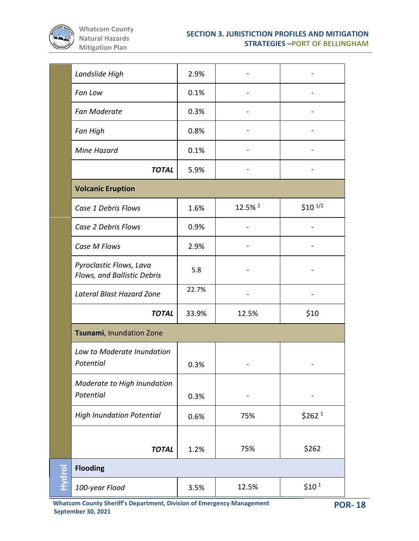

|        | Landslide High                                         | 2.9%  |                              |                     |
|--------|--------------------------------------------------------|-------|------------------------------|---------------------|
|        | Fan Low                                                | 0.1%  |                              |                     |
|        | Fan Moderate                                           | 0.3%  |                              |                     |
|        | Fan High                                               | 0.8%  |                              |                     |
|        | Mine Hazard                                            | 0.1%  |                              |                     |
|        | <b>TOTAL</b>                                           | 5.9%  |                              |                     |
|        | <b>Volcanic Eruption</b>                               |       |                              |                     |
|        | Case 1 Debris Flows                                    | 1.6%  | 12.5% <sup>2</sup>           | $$10^{1/2}$         |
|        | Case 2 Debris Flows                                    | 0.9%  |                              |                     |
|        | Case M Flows                                           | 2.9%  | $\qquad \qquad \blacksquare$ |                     |
|        | Pyroclastic Flows, Lava<br>Flows, and Ballistic Debris | 5.8   |                              |                     |
|        | Lateral Blast Hazard Zone                              | 22.7% | $\qquad \qquad \blacksquare$ |                     |
|        | <b>TOTAL</b>                                           | 33.9% | 12.5%                        | \$10                |
|        | Tsunami, Inundation Zone                               |       |                              |                     |
|        | Low to Moderate Inundation<br>Potential                | 0.3%  |                              |                     |
|        | Moderate to High Inundation<br>Potential               | 0.3%  |                              |                     |
|        | <b>High Inundation Potential</b>                       | 0.6%  | 75%                          | $$262$ <sup>1</sup> |
|        | <b>TOTAL</b>                                           | 1.2%  | 75%                          | \$262               |
|        | <b>Flooding</b>                                        |       |                              |                     |
| Hydrol | 100-year Flood                                         | 3.5%  | 12.5%                        | $$10^1$             |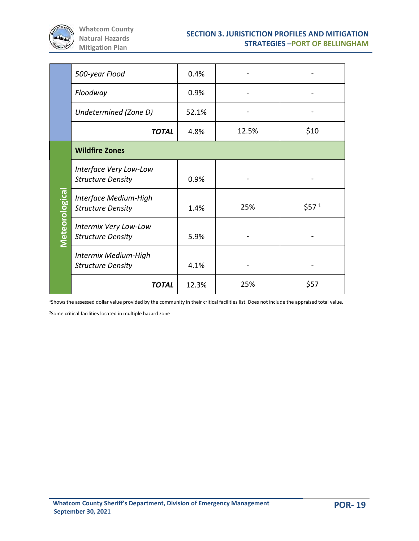

|                       | 500-year Flood                                     | 0.4%  |       |                   |
|-----------------------|----------------------------------------------------|-------|-------|-------------------|
|                       | Floodway                                           | 0.9%  |       |                   |
|                       | Undetermined (Zone D)                              | 52.1% |       |                   |
|                       | <b>TOTAL</b>                                       | 4.8%  | 12.5% | \$10              |
|                       | <b>Wildfire Zones</b>                              |       |       |                   |
|                       | Interface Very Low-Low<br><b>Structure Density</b> | 0.9%  |       |                   |
|                       | Interface Medium-High<br><b>Structure Density</b>  | 1.4%  | 25%   | \$57 <sup>1</sup> |
| <b>Meteorological</b> | Intermix Very Low-Low<br><b>Structure Density</b>  | 5.9%  |       |                   |
|                       | Intermix Medium-High<br><b>Structure Density</b>   | 4.1%  |       |                   |
|                       | <b>TOTAL</b>                                       | 12.3% | 25%   | \$57              |

<sup>1</sup>Shows the assessed dollar value provided by the community in their critical facilities list. Does not include the appraised total value.

<sup>2</sup>Some critical facilities located in multiple hazard zone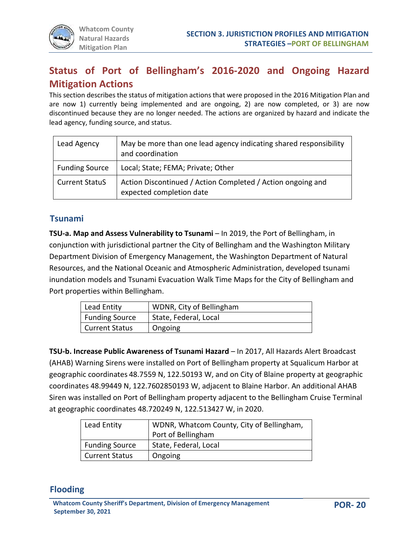# **Status of Port of Bellingham's 2016-2020 and Ongoing Hazard Mitigation Actions**

This section describes the status of mitigation actions that were proposed in the 2016 Mitigation Plan and are now 1) currently being implemented and are ongoing, 2) are now completed, or 3) are now discontinued because they are no longer needed. The actions are organized by hazard and indicate the lead agency, funding source, and status.

| Lead Agency           | May be more than one lead agency indicating shared responsibility<br>and coordination   |
|-----------------------|-----------------------------------------------------------------------------------------|
| <b>Funding Source</b> | Local; State; FEMA; Private; Other                                                      |
| <b>Current StatuS</b> | Action Discontinued / Action Completed / Action ongoing and<br>expected completion date |

#### **Tsunami**

**TSU-a. Map and Assess Vulnerability to Tsunami** – In 2019, the Port of Bellingham, in conjunction with jurisdictional partner the City of Bellingham and the Washington Military Department Division of Emergency Management, the Washington Department of Natural Resources, and the National Oceanic and Atmospheric Administration, developed tsunami inundation models and Tsunami Evacuation Walk Time Maps for the City of Bellingham and Port properties within Bellingham.

| Lead Entity           | WDNR, City of Bellingham |
|-----------------------|--------------------------|
| <b>Funding Source</b> | State, Federal, Local    |
| <b>Current Status</b> | Ongoing                  |

**TSU-b. Increase Public Awareness of Tsunami Hazard** – In 2017, All Hazards Alert Broadcast (AHAB) Warning Sirens were installed on Port of Bellingham property at Squalicum Harbor at geographic coordinates 48.7559 N, 122.50193 W, and on City of Blaine property at geographic coordinates 48.99449 N, 122.7602850193 W, adjacent to Blaine Harbor. An additional AHAB Siren was installed on Port of Bellingham property adjacent to the Bellingham Cruise Terminal at geographic coordinates 48.720249 N, 122.513427 W, in 2020.

| Lead Entity           | WDNR, Whatcom County, City of Bellingham, |  |  |  |  |
|-----------------------|-------------------------------------------|--|--|--|--|
|                       | Port of Bellingham                        |  |  |  |  |
| <b>Funding Source</b> | State, Federal, Local                     |  |  |  |  |
| <b>Current Status</b> | Ongoing                                   |  |  |  |  |

## **Flooding**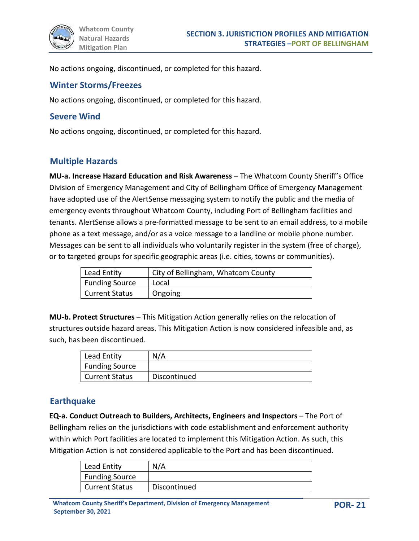No actions ongoing, discontinued, or completed for this hazard.

#### **Winter Storms/Freezes**

No actions ongoing, discontinued, or completed for this hazard.

#### **Severe Wind**

No actions ongoing, discontinued, or completed for this hazard.

#### **Multiple Hazards**

**MU-a. Increase Hazard Education and Risk Awareness** – The Whatcom County Sheriff's Office Division of Emergency Management and City of Bellingham Office of Emergency Management have adopted use of the AlertSense messaging system to notify the public and the media of emergency events throughout Whatcom County, including Port of Bellingham facilities and tenants. AlertSense allows a pre-formatted message to be sent to an email address, to a mobile phone as a text message, and/or as a voice message to a landline or mobile phone number. Messages can be sent to all individuals who voluntarily register in the system (free of charge), or to targeted groups for specific geographic areas (i.e. cities, towns or communities).

| Lead Entity           | City of Bellingham, Whatcom County |
|-----------------------|------------------------------------|
| <b>Funding Source</b> | Local                              |
| <b>Current Status</b> | Ongoing                            |

**MU-b. Protect Structures** – This Mitigation Action generally relies on the relocation of structures outside hazard areas. This Mitigation Action is now considered infeasible and, as such, has been discontinued.

| Lead Entity           | N/A          |
|-----------------------|--------------|
| <b>Funding Source</b> |              |
| <b>Current Status</b> | Discontinued |

#### **Earthquake**

**EQ-a. Conduct Outreach to Builders, Architects, Engineers and Inspectors** – The Port of Bellingham relies on the jurisdictions with code establishment and enforcement authority within which Port facilities are located to implement this Mitigation Action. As such, this Mitigation Action is not considered applicable to the Port and has been discontinued.

| Lead Entity    | N/A          |
|----------------|--------------|
| Funding Source |              |
| Current Status | Discontinued |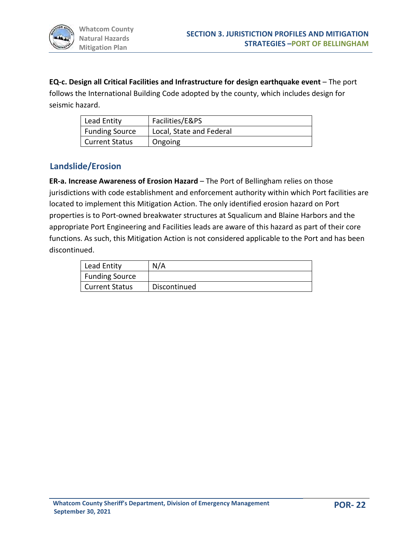**EQ-c. Design all Critical Facilities and Infrastructure for design earthquake event** – The port follows the International Building Code adopted by the county, which includes design for seismic hazard.

| Lead Entity           | Facilities/E&PS          |
|-----------------------|--------------------------|
| <b>Funding Source</b> | Local, State and Federal |
| Current Status        | Ongoing                  |

## **Landslide/Erosion**

**ER-a. Increase Awareness of Erosion Hazard** – The Port of Bellingham relies on those jurisdictions with code establishment and enforcement authority within which Port facilities are located to implement this Mitigation Action. The only identified erosion hazard on Port properties is to Port-owned breakwater structures at Squalicum and Blaine Harbors and the appropriate Port Engineering and Facilities leads are aware of this hazard as part of their core functions. As such, this Mitigation Action is not considered applicable to the Port and has been discontinued.

| Lead Entity           | N/A          |
|-----------------------|--------------|
| <b>Funding Source</b> |              |
| <b>Current Status</b> | Discontinued |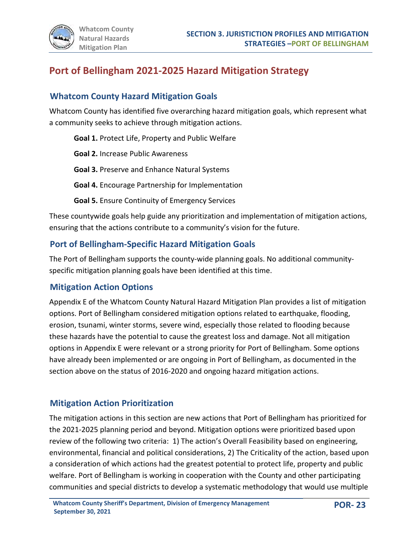# **Port of Bellingham 2021-2025 Hazard Mitigation Strategy**

## **Whatcom County Hazard Mitigation Goals**

Whatcom County has identified five overarching hazard mitigation goals, which represent what a community seeks to achieve through mitigation actions.

**Goal 1.** Protect Life, Property and Public Welfare

**Goal 2.** Increase Public Awareness

**Goal 3.** Preserve and Enhance Natural Systems

**Goal 4.** Encourage Partnership for Implementation

**Goal 5.** Ensure Continuity of Emergency Services

These countywide goals help guide any prioritization and implementation of mitigation actions, ensuring that the actions contribute to a community's vision for the future.

## **Port of Bellingham-Specific Hazard Mitigation Goals**

The Port of Bellingham supports the county-wide planning goals. No additional communityspecific mitigation planning goals have been identified at this time.

## **Mitigation Action Options**

Appendix E of the Whatcom County Natural Hazard Mitigation Plan provides a list of mitigation options. Port of Bellingham considered mitigation options related to earthquake, flooding, erosion, tsunami, winter storms, severe wind, especially those related to flooding because these hazards have the potential to cause the greatest loss and damage. Not all mitigation options in Appendix E were relevant or a strong priority for Port of Bellingham. Some options have already been implemented or are ongoing in Port of Bellingham, as documented in the section above on the status of 2016-2020 and ongoing hazard mitigation actions.

## **Mitigation Action Prioritization**

The mitigation actions in this section are new actions that Port of Bellingham has prioritized for the 2021-2025 planning period and beyond. Mitigation options were prioritized based upon review of the following two criteria: 1) The action's Overall Feasibility based on engineering, environmental, financial and political considerations, 2) The Criticality of the action, based upon a consideration of which actions had the greatest potential to protect life, property and public welfare. Port of Bellingham is working in cooperation with the County and other participating communities and special districts to develop a systematic methodology that would use multiple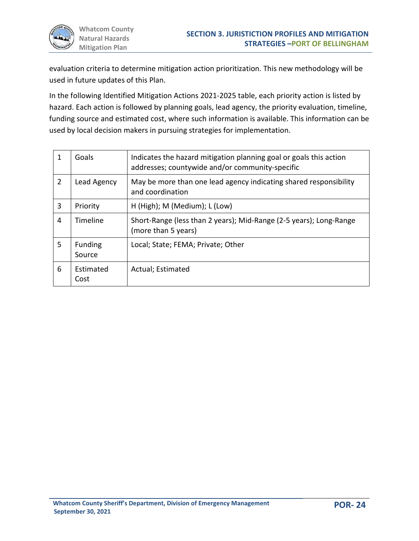

evaluation criteria to determine mitigation action prioritization. This new methodology will be used in future updates of this Plan.

In the following Identified Mitigation Actions 2021-2025 table, each priority action is listed by hazard. Each action is followed by planning goals, lead agency, the priority evaluation, timeline, funding source and estimated cost, where such information is available. This information can be used by local decision makers in pursuing strategies for implementation.

| 1 | Goals             | Indicates the hazard mitigation planning goal or goals this action<br>addresses; countywide and/or community-specific |
|---|-------------------|-----------------------------------------------------------------------------------------------------------------------|
| 2 | Lead Agency       | May be more than one lead agency indicating shared responsibility<br>and coordination                                 |
| 3 | Priority          | H (High); M (Medium); L (Low)                                                                                         |
| 4 | Timeline          | Short-Range (less than 2 years); Mid-Range (2-5 years); Long-Range<br>(more than 5 years)                             |
| 5 | Funding<br>Source | Local; State; FEMA; Private; Other                                                                                    |
| 6 | Estimated<br>Cost | Actual; Estimated                                                                                                     |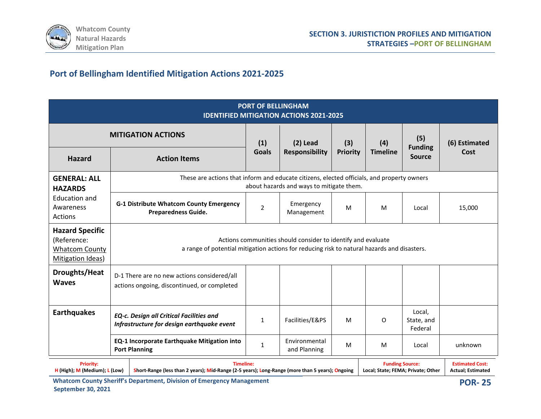

# **Port of Bellingham Identified Mitigation Actions 2021-2025**

| <b>PORT OF BELLINGHAM</b><br><b>IDENTIFIED MITIGATION ACTIONS 2021-2025</b>         |                                                                                                                                                                                                                                                                            |                |                                          |                        |                        |                                        |                       |  |
|-------------------------------------------------------------------------------------|----------------------------------------------------------------------------------------------------------------------------------------------------------------------------------------------------------------------------------------------------------------------------|----------------|------------------------------------------|------------------------|------------------------|----------------------------------------|-----------------------|--|
|                                                                                     | <b>MITIGATION ACTIONS</b>                                                                                                                                                                                                                                                  | (1)            | $(2)$ Lead<br><b>Responsibility</b>      | (3)<br><b>Priority</b> | (4)<br><b>Timeline</b> | (5)<br><b>Funding</b><br><b>Source</b> | (6) Estimated<br>Cost |  |
| <b>Hazard</b>                                                                       | <b>Action Items</b>                                                                                                                                                                                                                                                        | <b>Goals</b>   |                                          |                        |                        |                                        |                       |  |
| <b>GENERAL: ALL</b><br><b>HAZARDS</b>                                               | These are actions that inform and educate citizens, elected officials, and property owners                                                                                                                                                                                 |                | about hazards and ways to mitigate them. |                        |                        |                                        |                       |  |
| <b>Education and</b><br>Awareness<br>Actions                                        | <b>G-1 Distribute Whatcom County Emergency</b><br><b>Preparedness Guide.</b>                                                                                                                                                                                               | $\overline{2}$ | Emergency<br>Management                  | M                      | M                      | Local                                  | 15,000                |  |
| <b>Hazard Specific</b><br>(Reference:<br><b>Whatcom County</b><br>Mitigation Ideas) | Actions communities should consider to identify and evaluate<br>a range of potential mitigation actions for reducing risk to natural hazards and disasters.                                                                                                                |                |                                          |                        |                        |                                        |                       |  |
| Droughts/Heat<br><b>Waves</b>                                                       | D-1 There are no new actions considered/all<br>actions ongoing, discontinued, or completed                                                                                                                                                                                 |                |                                          |                        |                        |                                        |                       |  |
| <b>Earthquakes</b>                                                                  | EQ-c. Design all Critical Facilities and<br>Infrastructure for design earthquake event                                                                                                                                                                                     | 1              | Facilities/E&PS                          | M                      | O                      | Local.<br>State, and<br>Federal        |                       |  |
|                                                                                     | <b>EQ-1 Incorporate Earthquake Mitigation into</b><br><b>Port Planning</b>                                                                                                                                                                                                 | $\mathbf{1}$   | Environmental<br>and Planning            | M                      | M                      | Local                                  | unknown               |  |
| <b>Priority:</b>                                                                    | <b>Timeline:</b><br><b>Estimated Cost:</b><br><b>Funding Source:</b><br>H (High); M (Medium); L (Low)<br>Short-Range (less than 2 years); Mid-Range (2-5 years); Long-Range (more than 5 years); Ongoing<br>Local; State; FEMA; Private; Other<br><b>Actual; Estimated</b> |                |                                          |                        |                        |                                        |                       |  |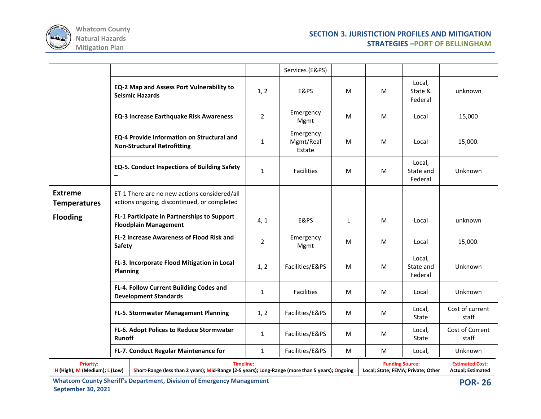

|                                                   |                 |                                                                                                                     |                | Services (E&PS)                  |              |                                                              |                                |                                                     |
|---------------------------------------------------|-----------------|---------------------------------------------------------------------------------------------------------------------|----------------|----------------------------------|--------------|--------------------------------------------------------------|--------------------------------|-----------------------------------------------------|
|                                                   |                 | <b>EQ-2 Map and Assess Port Vulnerability to</b><br><b>Seismic Hazards</b>                                          | 1, 2           | E&PS                             | M            | M                                                            | Local,<br>State &<br>Federal   | unknown                                             |
|                                                   |                 | <b>EQ-3 Increase Earthquake Risk Awareness</b>                                                                      | $\overline{2}$ | Emergency<br>Mgmt                | M            | M                                                            | Local                          | 15,000                                              |
|                                                   |                 | <b>EQ-4 Provide Information on Structural and</b><br><b>Non-Structural Retrofitting</b>                             | $\mathbf{1}$   | Emergency<br>Mgmt/Real<br>Estate | M            | M                                                            | Local                          | 15,000.                                             |
|                                                   |                 | <b>EQ-5. Conduct Inspections of Building Safety</b>                                                                 | $\mathbf{1}$   | <b>Facilities</b>                | M            | M                                                            | Local,<br>State and<br>Federal | Unknown                                             |
| <b>Extreme</b><br><b>Temperatures</b>             |                 | ET-1 There are no new actions considered/all<br>actions ongoing, discontinued, or completed                         |                |                                  |              |                                                              |                                |                                                     |
| <b>Flooding</b>                                   |                 | FL-1 Participate in Partnerships to Support<br><b>Floodplain Management</b>                                         | 4, 1           | E&PS                             | $\mathsf{L}$ | M                                                            | Local                          | unknown                                             |
| Safety                                            |                 | <b>FL-2 Increase Awareness of Flood Risk and</b>                                                                    | $\overline{2}$ | Emergency<br>Mgmt                | M            | M                                                            | Local                          | 15,000.                                             |
|                                                   | <b>Planning</b> | FL-3. Incorporate Flood Mitigation in Local                                                                         | 1, 2           | Facilities/E&PS                  | M            | M                                                            | Local,<br>State and<br>Federal | Unknown                                             |
|                                                   |                 | FL-4. Follow Current Building Codes and<br><b>Development Standards</b>                                             | $\mathbf{1}$   | <b>Facilities</b>                | M            | M                                                            | Local                          | Unknown                                             |
|                                                   |                 | FL-5. Stormwater Management Planning                                                                                | 1, 2           | Facilities/E&PS                  | M            | M                                                            | Local,<br>State                | Cost of current<br>staff                            |
|                                                   | Runoff          | FL-6. Adopt Polices to Reduce Stormwater                                                                            | $\mathbf{1}$   | Facilities/E&PS                  | M            | M                                                            | Local,<br>State                | Cost of Current<br>staff                            |
|                                                   |                 | FL-7. Conduct Regular Maintenance for                                                                               | $\mathbf{1}$   | Facilities/E&PS                  | M            | M                                                            | Local,                         | Unknown                                             |
| <b>Priority:</b><br>H (High); M (Medium); L (Low) |                 | <b>Timeline:</b><br>Short-Range (less than 2 years); Mid-Range (2-5 years); Long-Range (more than 5 years); Ongoing |                |                                  |              | <b>Funding Source:</b><br>Local; State; FEMA; Private; Other |                                | <b>Estimated Cost:</b><br><b>Actual</b> ; Estimated |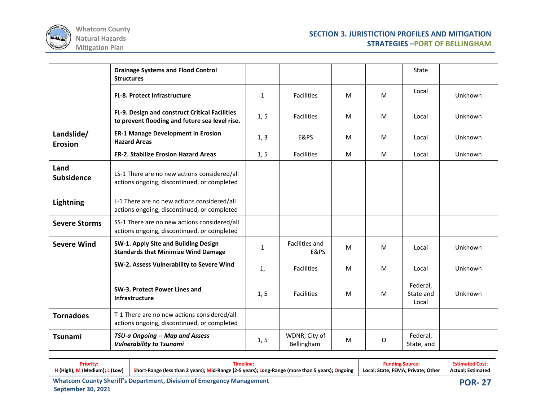

|                              | <b>Drainage Systems and Flood Control</b><br><b>Structures</b>                                   |              |                                   |   |   | State                          |         |
|------------------------------|--------------------------------------------------------------------------------------------------|--------------|-----------------------------------|---|---|--------------------------------|---------|
|                              | <b>FL-8. Protect Infrastructure</b>                                                              | 1            | <b>Facilities</b>                 | M | M | Local                          | Unknown |
|                              | FL-9. Design and construct Critical Facilities<br>to prevent flooding and future sea level rise. | 1, 5         | <b>Facilities</b>                 | M | M | Local                          | Unknown |
| Landslide/<br><b>Erosion</b> | <b>ER-1 Manage Development in Erosion</b><br><b>Hazard Areas</b>                                 | 1, 3         | E&PS                              | M | M | Local                          | Unknown |
|                              | <b>ER-2. Stabilize Erosion Hazard Areas</b>                                                      | 1, 5         | <b>Facilities</b>                 | M | M | Local                          | Unknown |
| Land<br>Subsidence           | LS-1 There are no new actions considered/all<br>actions ongoing, discontinued, or completed      |              |                                   |   |   |                                |         |
| Lightning                    | L-1 There are no new actions considered/all<br>actions ongoing, discontinued, or completed       |              |                                   |   |   |                                |         |
| <b>Severe Storms</b>         | SS-1 There are no new actions considered/all<br>actions ongoing, discontinued, or completed      |              |                                   |   |   |                                |         |
| <b>Severe Wind</b>           | SW-1. Apply Site and Building Design<br><b>Standards that Minimize Wind Damage</b>               | $\mathbf{1}$ | Facilities and<br><b>E&amp;PS</b> | M | M | Local                          | Unknown |
|                              | SW-2. Assess Vulnerability to Severe Wind                                                        | 1,           | <b>Facilities</b>                 | M | M | Local                          | Unknown |
|                              | SW-3. Protect Power Lines and<br><b>Infrastructure</b>                                           | 1, 5         | <b>Facilities</b>                 | M | M | Federal,<br>State and<br>Local | Unknown |
| <b>Tornadoes</b>             | T-1 There are no new actions considered/all<br>actions ongoing, discontinued, or completed       |              |                                   |   |   |                                |         |
| <b>Tsunami</b>               | TSU-a Ongoing -- Map and Assess<br><b>Vulnerability to Tsunami</b>                               | 1, 5         | WDNR, City of<br>Bellingham       | M | O | Federal,<br>State, and         |         |

| <b>Priority:</b>                | :imeline                                                                                        | <b>Funding Source:</b>             | <b>Estimated Cost:</b>   |
|---------------------------------|-------------------------------------------------------------------------------------------------|------------------------------------|--------------------------|
| $H$ (High); M (Medium); L (Low) | Short-Range (less than 2 years); Mid-Range (2-5 years); Long-Range (more than 5 years); Ongoing | Local: State: FEMA: Private: Other | <b>Actual: Estimated</b> |
|                                 |                                                                                                 |                                    |                          |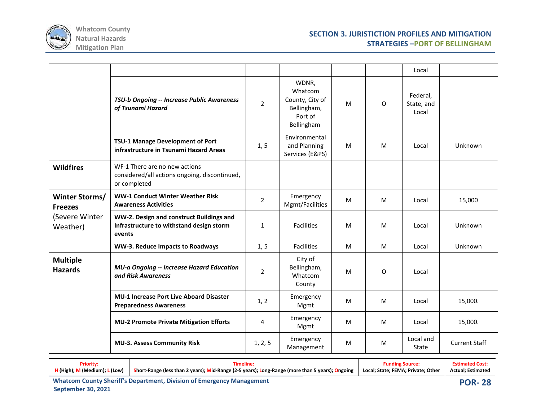

|                                   |                                                                                                |                |                                                                             |   |          | Local                           |                      |
|-----------------------------------|------------------------------------------------------------------------------------------------|----------------|-----------------------------------------------------------------------------|---|----------|---------------------------------|----------------------|
|                                   | TSU-b Ongoing -- Increase Public Awareness<br>of Tsunami Hazard                                | $\overline{2}$ | WDNR,<br>Whatcom<br>County, City of<br>Bellingham,<br>Port of<br>Bellingham | M | O        | Federal,<br>State, and<br>Local |                      |
|                                   | TSU-1 Manage Development of Port<br>infrastructure in Tsunami Hazard Areas                     | 1, 5           | Environmental<br>and Planning<br>Services (E&PS)                            | M | M        | Local                           | Unknown              |
| <b>Wildfires</b>                  | WF-1 There are no new actions<br>considered/all actions ongoing, discontinued,<br>or completed |                |                                                                             |   |          |                                 |                      |
| Winter Storms/<br><b>Freezes</b>  | <b>WW-1 Conduct Winter Weather Risk</b><br><b>Awareness Activities</b>                         | $\overline{2}$ | Emergency<br>Mgmt/Facilities                                                | M | M        | Local                           | 15,000               |
| (Severe Winter<br>Weather)        | WW-2. Design and construct Buildings and<br>Infrastructure to withstand design storm<br>events | $\mathbf{1}$   | <b>Facilities</b>                                                           | M | M        | Local                           | Unknown              |
|                                   | WW-3. Reduce Impacts to Roadways                                                               | 1, 5           | <b>Facilities</b>                                                           | M | M        | Local                           | Unknown              |
| <b>Multiple</b><br><b>Hazards</b> | MU-a Ongoing -- Increase Hazard Education<br>and Risk Awareness                                | $\overline{2}$ | City of<br>Bellingham,<br>Whatcom<br>County                                 | M | $\Omega$ | Local                           |                      |
|                                   | <b>MU-1 Increase Port Live Aboard Disaster</b><br><b>Preparedness Awareness</b>                | 1, 2           | Emergency<br>Mgmt                                                           | M | M        | Local                           | 15,000.              |
|                                   | <b>MU-2 Promote Private Mitigation Efforts</b>                                                 | 4              | Emergency<br>Mgmt                                                           | M | M        | Local                           | 15,000.              |
|                                   | <b>MU-3. Assess Community Risk</b>                                                             | 1, 2, 5        | Emergency<br>Management                                                     | M | M        | Local and<br>State              | <b>Current Staff</b> |

| Prioritv:                     | Timeline:                                                                                       | <b>Funding Source:</b>             | <b>Estimated Cost:</b> |
|-------------------------------|-------------------------------------------------------------------------------------------------|------------------------------------|------------------------|
| H (High); M (Medium); L (Low) | Short-Range (less than 2 years); Mid-Range (2-5 years); Long-Range (more than 5 years); Ongoing | Local; State; FEMA; Private; Other | Actual: Estimated      |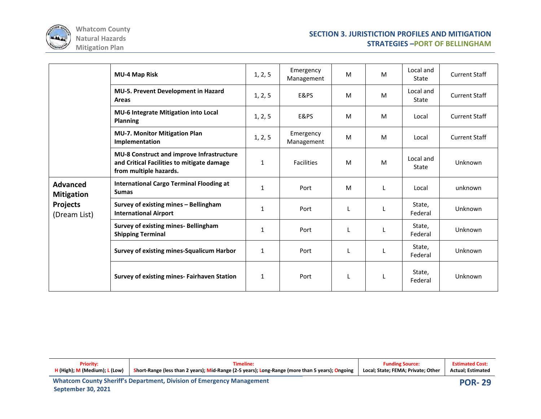

|                                                                         | <b>MU-4 Map Risk</b>                                                                                              | 1, 2, 5      | Emergency<br>Management | M | M | Local and<br>State | <b>Current Staff</b> |
|-------------------------------------------------------------------------|-------------------------------------------------------------------------------------------------------------------|--------------|-------------------------|---|---|--------------------|----------------------|
|                                                                         | <b>MU-5. Prevent Development in Hazard</b><br>Areas                                                               | 1, 2, 5      | E&PS                    | M | M | Local and<br>State | <b>Current Staff</b> |
|                                                                         | MU-6 Integrate Mitigation into Local<br><b>Planning</b>                                                           | 1, 2, 5      | E&PS                    | M | M | Local              | <b>Current Staff</b> |
|                                                                         | <b>MU-7. Monitor Mitigation Plan</b><br>Implementation                                                            | 1, 2, 5      | Emergency<br>Management | M | M | Local              | <b>Current Staff</b> |
|                                                                         | MU-8 Construct and improve Infrastructure<br>and Critical Facilities to mitigate damage<br>from multiple hazards. | $\mathbf{1}$ | <b>Facilities</b>       | M | M | Local and<br>State | Unknown              |
| <b>Advanced</b><br><b>Mitigation</b><br><b>Projects</b><br>(Dream List) | <b>International Cargo Terminal Flooding at</b><br><b>Sumas</b>                                                   | $\mathbf{1}$ | Port                    | M |   | Local              | unknown              |
|                                                                         | Survey of existing mines - Bellingham<br><b>International Airport</b>                                             | $\mathbf{1}$ | Port                    |   |   | State,<br>Federal  | Unknown              |
|                                                                         | <b>Survey of existing mines- Bellingham</b><br><b>Shipping Terminal</b>                                           | $\mathbf{1}$ | Port                    |   |   | State,<br>Federal  | Unknown              |
|                                                                         | Survey of existing mines-Squalicum Harbor                                                                         | $\mathbf{1}$ | Port                    |   |   | State,<br>Federal  | Unknown              |
|                                                                         | <b>Survey of existing mines- Fairhaven Station</b>                                                                | $\mathbf{1}$ | Port                    | L |   | State,<br>Federal  | Unknown              |

| <b>Priority:</b>              | Timeline:                                                                                       | <b>Funding Source:</b>             |               |  |  |
|-------------------------------|-------------------------------------------------------------------------------------------------|------------------------------------|---------------|--|--|
| H (High); M (Medium); L (Low) | Short-Range (less than 2 years); Mid-Range (2-5 years); Long-Range (more than 5 years); Ongoing | Local: State: FEMA: Private: Other |               |  |  |
|                               | <b>Whatcom County Sheriff's Department, Division of Emergency Management</b>                    |                                    | <b>POR-29</b> |  |  |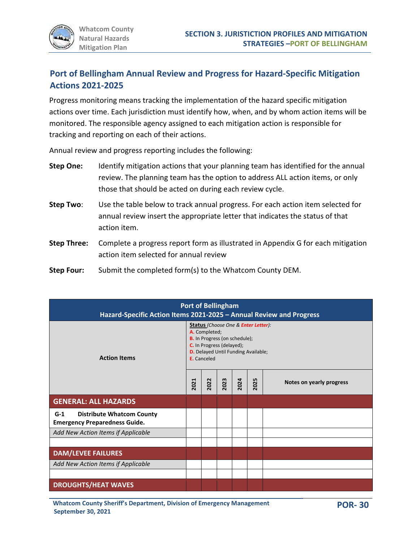## **Port of Bellingham Annual Review and Progress for Hazard-Specific Mitigation Actions 2021-2025**

Progress monitoring means tracking the implementation of the hazard specific mitigation actions over time. Each jurisdiction must identify how, when, and by whom action items will be monitored. The responsible agency assigned to each mitigation action is responsible for tracking and reporting on each of their actions.

Annual review and progress reporting includes the following:

- **Step One:** Identify mitigation actions that your planning team has identified for the annual review. The planning team has the option to address ALL action items, or only those that should be acted on during each review cycle.
- **Step Two**: Use the table below to track annual progress. For each action item selected for annual review insert the appropriate letter that indicates the status of that action item.
- **Step Three:** Complete a progress report form as illustrated in Appendix G for each mitigation action item selected for annual review
- **Step Four:** Submit the completed form(s) to the Whatcom County DEM.

| <b>Port of Bellingham</b><br>Hazard-Specific Action Items 2021-2025 - Annual Review and Progress |                                                                                                                                                                                 |      |      |      |      |                          |  |  |
|--------------------------------------------------------------------------------------------------|---------------------------------------------------------------------------------------------------------------------------------------------------------------------------------|------|------|------|------|--------------------------|--|--|
| <b>Action Items</b>                                                                              | Status (Choose One & Enter Letter):<br>A. Completed;<br>B. In Progress (on schedule);<br>C. In Progress (delayed);<br><b>D.</b> Delayed Until Funding Available;<br>E. Canceled |      |      |      |      |                          |  |  |
|                                                                                                  | 2021                                                                                                                                                                            | 2022 | 2023 | 2024 | 2025 | Notes on yearly progress |  |  |
| <b>GENERAL: ALL HAZARDS</b>                                                                      |                                                                                                                                                                                 |      |      |      |      |                          |  |  |
| $G-1$<br><b>Distribute Whatcom County</b><br><b>Emergency Preparedness Guide.</b>                |                                                                                                                                                                                 |      |      |      |      |                          |  |  |
| Add New Action Items if Applicable                                                               |                                                                                                                                                                                 |      |      |      |      |                          |  |  |
| <b>DAM/LEVEE FAILURES</b>                                                                        |                                                                                                                                                                                 |      |      |      |      |                          |  |  |
| Add New Action Items if Applicable                                                               |                                                                                                                                                                                 |      |      |      |      |                          |  |  |
| <b>DROUGHTS/HEAT WAVES</b>                                                                       |                                                                                                                                                                                 |      |      |      |      |                          |  |  |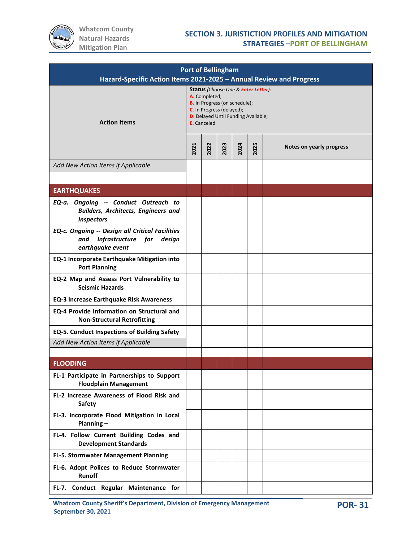

| <b>Port of Bellingham</b><br>Hazard-Specific Action Items 2021-2025 - Annual Review and Progress        |                                                                                                                                                                                        |      |      |      |      |                          |  |  |  |
|---------------------------------------------------------------------------------------------------------|----------------------------------------------------------------------------------------------------------------------------------------------------------------------------------------|------|------|------|------|--------------------------|--|--|--|
| <b>Action Items</b>                                                                                     | Status (Choose One & Enter Letter):<br>A. Completed;<br><b>B.</b> In Progress (on schedule);<br>C. In Progress (delayed);<br><b>D.</b> Delayed Until Funding Available;<br>E. Canceled |      |      |      |      |                          |  |  |  |
|                                                                                                         | 2021                                                                                                                                                                                   | 2022 | 2023 | 2024 | 2025 | Notes on yearly progress |  |  |  |
| Add New Action Items if Applicable                                                                      |                                                                                                                                                                                        |      |      |      |      |                          |  |  |  |
|                                                                                                         |                                                                                                                                                                                        |      |      |      |      |                          |  |  |  |
| <b>EARTHQUAKES</b>                                                                                      |                                                                                                                                                                                        |      |      |      |      |                          |  |  |  |
| EQ-a. Ongoing -- Conduct Outreach to<br><b>Builders, Architects, Engineers and</b><br><b>Inspectors</b> |                                                                                                                                                                                        |      |      |      |      |                          |  |  |  |
| EQ-c. Ongoing -- Design all Critical Facilities<br>Infrastructure for design<br>and<br>earthquake event |                                                                                                                                                                                        |      |      |      |      |                          |  |  |  |
| EQ-1 Incorporate Earthquake Mitigation into<br><b>Port Planning</b>                                     |                                                                                                                                                                                        |      |      |      |      |                          |  |  |  |
| EQ-2 Map and Assess Port Vulnerability to<br><b>Seismic Hazards</b>                                     |                                                                                                                                                                                        |      |      |      |      |                          |  |  |  |
| <b>EQ-3 Increase Earthquake Risk Awareness</b>                                                          |                                                                                                                                                                                        |      |      |      |      |                          |  |  |  |
| EQ-4 Provide Information on Structural and<br><b>Non-Structural Retrofitting</b>                        |                                                                                                                                                                                        |      |      |      |      |                          |  |  |  |
| <b>EQ-5. Conduct Inspections of Building Safety</b>                                                     |                                                                                                                                                                                        |      |      |      |      |                          |  |  |  |
| Add New Action Items if Applicable                                                                      |                                                                                                                                                                                        |      |      |      |      |                          |  |  |  |
|                                                                                                         |                                                                                                                                                                                        |      |      |      |      |                          |  |  |  |
| <b>FLOODING</b>                                                                                         |                                                                                                                                                                                        |      |      |      |      |                          |  |  |  |
| FL-1 Participate in Partnerships to Support<br><b>Floodplain Management</b>                             |                                                                                                                                                                                        |      |      |      |      |                          |  |  |  |
| FL-2 Increase Awareness of Flood Risk and<br><b>Safety</b>                                              |                                                                                                                                                                                        |      |      |      |      |                          |  |  |  |
| FL-3. Incorporate Flood Mitigation in Local<br>Planning-                                                |                                                                                                                                                                                        |      |      |      |      |                          |  |  |  |
| FL-4. Follow Current Building Codes and<br><b>Development Standards</b>                                 |                                                                                                                                                                                        |      |      |      |      |                          |  |  |  |
| FL-5. Stormwater Management Planning                                                                    |                                                                                                                                                                                        |      |      |      |      |                          |  |  |  |
| FL-6. Adopt Polices to Reduce Stormwater<br>Runoff                                                      |                                                                                                                                                                                        |      |      |      |      |                          |  |  |  |
| FL-7. Conduct Regular Maintenance for                                                                   |                                                                                                                                                                                        |      |      |      |      |                          |  |  |  |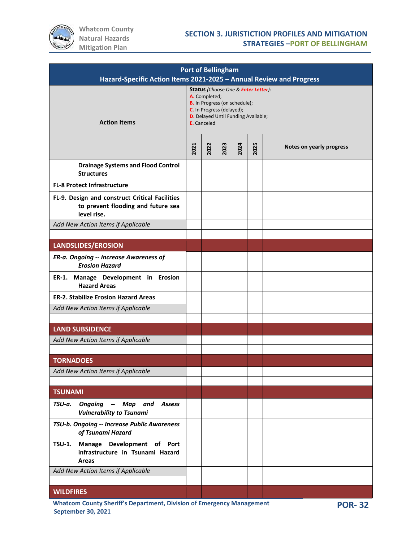

| <b>Port of Bellingham</b><br>Hazard-Specific Action Items 2021-2025 - Annual Review and Progress    |                                                                                                                                                                                 |      |      |      |      |                          |  |  |  |
|-----------------------------------------------------------------------------------------------------|---------------------------------------------------------------------------------------------------------------------------------------------------------------------------------|------|------|------|------|--------------------------|--|--|--|
| <b>Action Items</b>                                                                                 | Status (Choose One & Enter Letter):<br>A. Completed;<br>B. In Progress (on schedule);<br>C. In Progress (delayed);<br><b>D.</b> Delayed Until Funding Available;<br>E. Canceled |      |      |      |      |                          |  |  |  |
|                                                                                                     | 2021                                                                                                                                                                            | 2022 | 2023 | 2024 | 2025 | Notes on yearly progress |  |  |  |
| <b>Drainage Systems and Flood Control</b><br><b>Structures</b>                                      |                                                                                                                                                                                 |      |      |      |      |                          |  |  |  |
| <b>FL-8 Protect Infrastructure</b>                                                                  |                                                                                                                                                                                 |      |      |      |      |                          |  |  |  |
| FL-9. Design and construct Critical Facilities<br>to prevent flooding and future sea<br>level rise. |                                                                                                                                                                                 |      |      |      |      |                          |  |  |  |
| Add New Action Items if Applicable                                                                  |                                                                                                                                                                                 |      |      |      |      |                          |  |  |  |
|                                                                                                     |                                                                                                                                                                                 |      |      |      |      |                          |  |  |  |
| <b>LANDSLIDES/EROSION</b>                                                                           |                                                                                                                                                                                 |      |      |      |      |                          |  |  |  |
| ER-a. Ongoing -- Increase Awareness of<br><b>Erosion Hazard</b>                                     |                                                                                                                                                                                 |      |      |      |      |                          |  |  |  |
| ER-1. Manage Development in Erosion<br><b>Hazard Areas</b>                                          |                                                                                                                                                                                 |      |      |      |      |                          |  |  |  |
| <b>ER-2. Stabilize Erosion Hazard Areas</b>                                                         |                                                                                                                                                                                 |      |      |      |      |                          |  |  |  |
| Add New Action Items if Applicable                                                                  |                                                                                                                                                                                 |      |      |      |      |                          |  |  |  |
|                                                                                                     |                                                                                                                                                                                 |      |      |      |      |                          |  |  |  |
| <b>LAND SUBSIDENCE</b>                                                                              |                                                                                                                                                                                 |      |      |      |      |                          |  |  |  |
| Add New Action Items if Applicable                                                                  |                                                                                                                                                                                 |      |      |      |      |                          |  |  |  |
| <b>TORNADOES</b>                                                                                    |                                                                                                                                                                                 |      |      |      |      |                          |  |  |  |
| Add New Action Items if Applicable                                                                  |                                                                                                                                                                                 |      |      |      |      |                          |  |  |  |
|                                                                                                     |                                                                                                                                                                                 |      |      |      |      |                          |  |  |  |
| <b>TSUNAMI</b>                                                                                      |                                                                                                                                                                                 |      |      |      |      |                          |  |  |  |
| <b>Ongoing -- Map and Assess</b><br>TSU-a.<br><b>Vulnerability to Tsunami</b>                       |                                                                                                                                                                                 |      |      |      |      |                          |  |  |  |
| TSU-b. Ongoing -- Increase Public Awareness<br>of Tsunami Hazard                                    |                                                                                                                                                                                 |      |      |      |      |                          |  |  |  |
| Manage Development of Port<br><b>TSU-1.</b><br>infrastructure in Tsunami Hazard<br>Areas            |                                                                                                                                                                                 |      |      |      |      |                          |  |  |  |
| Add New Action Items if Applicable                                                                  |                                                                                                                                                                                 |      |      |      |      |                          |  |  |  |
|                                                                                                     |                                                                                                                                                                                 |      |      |      |      |                          |  |  |  |
| <b>WILDFIRES</b>                                                                                    |                                                                                                                                                                                 |      |      |      |      |                          |  |  |  |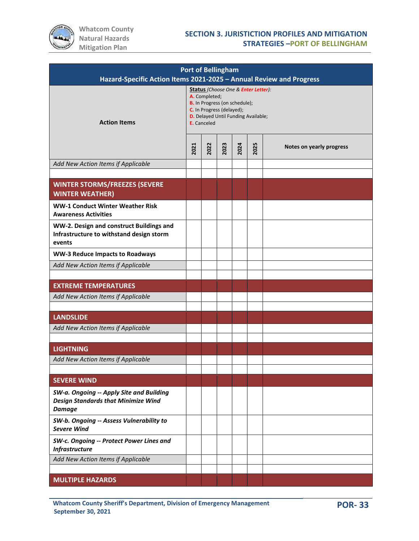

| <b>Port of Bellingham</b><br>Hazard-Specific Action Items 2021-2025 - Annual Review and Progress        |                                                                                                                                                                                               |      |      |      |      |                          |  |  |  |
|---------------------------------------------------------------------------------------------------------|-----------------------------------------------------------------------------------------------------------------------------------------------------------------------------------------------|------|------|------|------|--------------------------|--|--|--|
| <b>Action Items</b>                                                                                     | <b>Status</b> (Choose One & Enter Letter):<br>A. Completed;<br>B. In Progress (on schedule);<br>C. In Progress (delayed);<br><b>D.</b> Delayed Until Funding Available;<br><b>E.</b> Canceled |      |      |      |      |                          |  |  |  |
|                                                                                                         | 2021                                                                                                                                                                                          | 2022 | 2023 | 2024 | 2025 | Notes on yearly progress |  |  |  |
| Add New Action Items if Applicable                                                                      |                                                                                                                                                                                               |      |      |      |      |                          |  |  |  |
| <b>WINTER STORMS/FREEZES (SEVERE</b><br><b>WINTER WEATHER)</b>                                          |                                                                                                                                                                                               |      |      |      |      |                          |  |  |  |
| <b>WW-1 Conduct Winter Weather Risk</b><br><b>Awareness Activities</b>                                  |                                                                                                                                                                                               |      |      |      |      |                          |  |  |  |
| WW-2. Design and construct Buildings and<br>Infrastructure to withstand design storm<br>events          |                                                                                                                                                                                               |      |      |      |      |                          |  |  |  |
| <b>WW-3 Reduce Impacts to Roadways</b>                                                                  |                                                                                                                                                                                               |      |      |      |      |                          |  |  |  |
| Add New Action Items if Applicable                                                                      |                                                                                                                                                                                               |      |      |      |      |                          |  |  |  |
|                                                                                                         |                                                                                                                                                                                               |      |      |      |      |                          |  |  |  |
| <b>EXTREME TEMPERATURES</b>                                                                             |                                                                                                                                                                                               |      |      |      |      |                          |  |  |  |
| Add New Action Items if Applicable                                                                      |                                                                                                                                                                                               |      |      |      |      |                          |  |  |  |
| <b>LANDSLIDE</b>                                                                                        |                                                                                                                                                                                               |      |      |      |      |                          |  |  |  |
| Add New Action Items if Applicable                                                                      |                                                                                                                                                                                               |      |      |      |      |                          |  |  |  |
|                                                                                                         |                                                                                                                                                                                               |      |      |      |      |                          |  |  |  |
| <b>LIGHTNING</b>                                                                                        |                                                                                                                                                                                               |      |      |      |      |                          |  |  |  |
| Add New Action Items if Applicable                                                                      |                                                                                                                                                                                               |      |      |      |      |                          |  |  |  |
|                                                                                                         |                                                                                                                                                                                               |      |      |      |      |                          |  |  |  |
| <b>SEVERE WIND</b>                                                                                      |                                                                                                                                                                                               |      |      |      |      |                          |  |  |  |
| SW-a. Ongoing -- Apply Site and Building<br><b>Design Standards that Minimize Wind</b><br><b>Damage</b> |                                                                                                                                                                                               |      |      |      |      |                          |  |  |  |
| SW-b. Ongoing -- Assess Vulnerability to<br><b>Severe Wind</b>                                          |                                                                                                                                                                                               |      |      |      |      |                          |  |  |  |
| SW-c. Ongoing -- Protect Power Lines and<br><b>Infrastructure</b>                                       |                                                                                                                                                                                               |      |      |      |      |                          |  |  |  |
| Add New Action Items if Applicable                                                                      |                                                                                                                                                                                               |      |      |      |      |                          |  |  |  |
|                                                                                                         |                                                                                                                                                                                               |      |      |      |      |                          |  |  |  |
| <b>MULTIPLE HAZARDS</b>                                                                                 |                                                                                                                                                                                               |      |      |      |      |                          |  |  |  |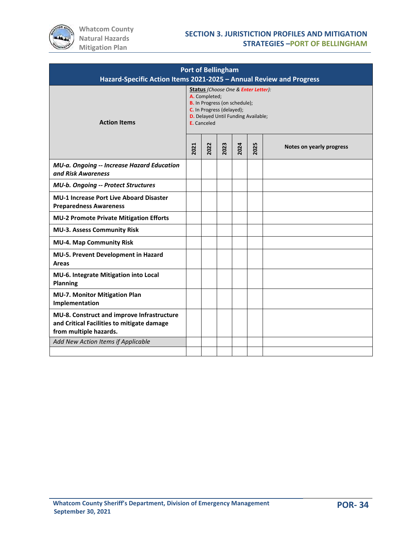

| <b>Port of Bellingham</b><br>Hazard-Specific Action Items 2021-2025 - Annual Review and Progress                   |                                                                                                                                                                                        |      |      |      |      |                          |  |
|--------------------------------------------------------------------------------------------------------------------|----------------------------------------------------------------------------------------------------------------------------------------------------------------------------------------|------|------|------|------|--------------------------|--|
| <b>Action Items</b>                                                                                                | Status (Choose One & Enter Letter):<br>A. Completed;<br><b>B.</b> In Progress (on schedule);<br>C. In Progress (delayed);<br><b>D.</b> Delayed Until Funding Available;<br>E. Canceled |      |      |      |      |                          |  |
|                                                                                                                    |                                                                                                                                                                                        | 2022 | 2023 | 2024 | 2025 | Notes on yearly progress |  |
| MU-a. Ongoing -- Increase Hazard Education<br>and Risk Awareness                                                   |                                                                                                                                                                                        |      |      |      |      |                          |  |
| <b>MU-b. Ongoing -- Protect Structures</b>                                                                         |                                                                                                                                                                                        |      |      |      |      |                          |  |
| <b>MU-1 Increase Port Live Aboard Disaster</b><br><b>Preparedness Awareness</b>                                    |                                                                                                                                                                                        |      |      |      |      |                          |  |
| <b>MU-2 Promote Private Mitigation Efforts</b>                                                                     |                                                                                                                                                                                        |      |      |      |      |                          |  |
| <b>MU-3. Assess Community Risk</b>                                                                                 |                                                                                                                                                                                        |      |      |      |      |                          |  |
| <b>MU-4. Map Community Risk</b>                                                                                    |                                                                                                                                                                                        |      |      |      |      |                          |  |
| MU-5. Prevent Development in Hazard<br>Areas                                                                       |                                                                                                                                                                                        |      |      |      |      |                          |  |
| MU-6. Integrate Mitigation into Local<br><b>Planning</b>                                                           |                                                                                                                                                                                        |      |      |      |      |                          |  |
| <b>MU-7. Monitor Mitigation Plan</b><br>Implementation                                                             |                                                                                                                                                                                        |      |      |      |      |                          |  |
| MU-8. Construct and improve Infrastructure<br>and Critical Facilities to mitigate damage<br>from multiple hazards. |                                                                                                                                                                                        |      |      |      |      |                          |  |
| Add New Action Items if Applicable                                                                                 |                                                                                                                                                                                        |      |      |      |      |                          |  |
|                                                                                                                    |                                                                                                                                                                                        |      |      |      |      |                          |  |